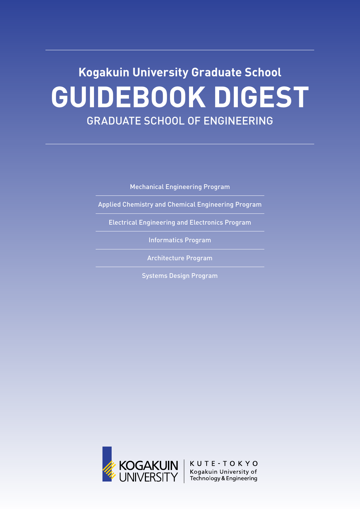# **Kogakuin University Graduate School GUIDEBOOK DIGEST** GRADUATE SCHOOL OF ENGINEERING

Mechanical Engineering Program

Applied Chemistry and Chemical Engineering Program

Electrical Engineering and Electronics Program

Informatics Program

Architecture Program

Systems Design Program

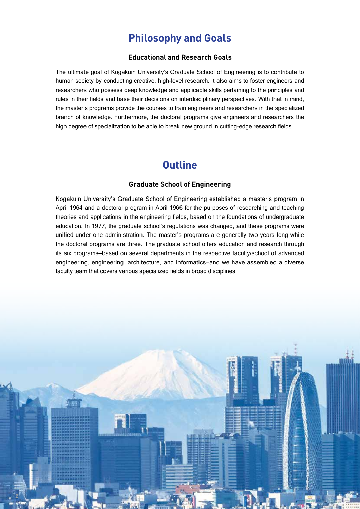#### **Educational and Research Goals**

The ultimate goal of Kogakuin University's Graduate School of Engineering is to contribute to human society by conducting creative, high-level research. It also aims to foster engineers and researchers who possess deep knowledge and applicable skills pertaining to the principles and rules in their fields and base their decisions on interdisciplinary perspectives. With that in mind, the master's programs provide the courses to train engineers and researchers in the specialized branch of knowledge. Furthermore, the doctoral programs give engineers and researchers the high degree of specialization to be able to break new ground in cutting-edge research fields.

### **Outline**

#### **Graduate School of Engineering**

Kogakuin University's Graduate School of Engineering established a master's program in April 1964 and a doctoral program in April 1966 for the purposes of researching and teaching theories and applications in the engineering fields, based on the foundations of undergraduate education. In 1977, the graduate school's regulations was changed, and these programs were unified under one administration. The master's programs are generally two years long while the doctoral programs are three. The graduate school offers education and research through its six programs—based on several departments in the respective faculty/school of advanced engineering, engineering, architecture, and informatics—and we have assembled a diverse faculty team that covers various specialized fields in broad disciplines.

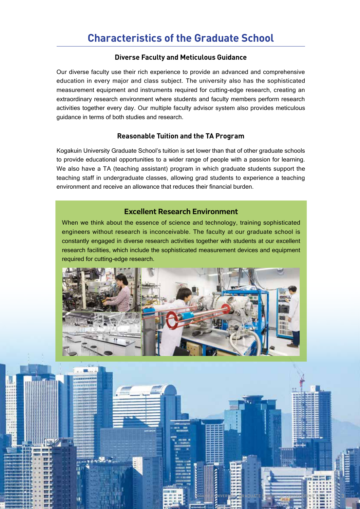#### **Diverse Faculty and Meticulous Guidance**

Our diverse faculty use their rich experience to provide an advanced and comprehensive education in every major and class subject. The university also has the sophisticated measurement equipment and instruments required for cutting-edge research, creating an extraordinary research environment where students and faculty members perform research activities together every day. Our multiple faculty advisor system also provides meticulous guidance in terms of both studies and research.

#### **Reasonable Tuition and the TA Program**

Kogakuin University Graduate School's tuition is set lower than that of other graduate schools to provide educational opportunities to a wider range of people with a passion for learning. We also have a TA (teaching assistant) program in which graduate students support the teaching staff in undergraduate classes, allowing grad students to experience a teaching environment and receive an allowance that reduces their financial burden.

#### **Excellent Research Environment**

When we think about the essence of science and technology, training sophisticated engineers without research is inconceivable. The faculty at our graduate school is constantly engaged in diverse research activities together with students at our excellent research facilities, which include the sophisticated measurement devices and equipment required for cutting-edge research.



KOGAKUIN UNIVERSITY GRADUATE SCHOOL OF ENGINEERING 2022 **3**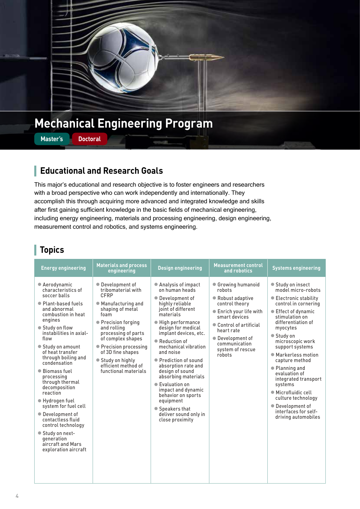

## **Mechanical Engineering Program**

**Master's Doctoral**

### **Educational and Research Goals**

This major's educational and research objective is to foster engineers and researchers with a broad perspective who can work independently and internationally. They accomplish this through acquiring more advanced and integrated knowledge and skills after first gaining sufficient knowledge in the basic fields of mechanical engineering, including energy engineering, materials and processing engineering, design engineering, measurement control and robotics, and systems engineering.

| <b>Energy engineering</b>                                                                                                                                                                                                                                                                                                                                                                                                                                                                                                                  | <b>Materials and process</b><br>engineering                                                                                                                                                                                                                                                            | <b>Design engineering</b>                                                                                                                                                                                                                                                                                                                                                                                                                                                         | <b>Measurement control</b><br>and robotics                                                                                                                                                                                  | <b>Systems engineering</b>                                                                                                                                                                                                                                                                                                                                                                                                                               |
|--------------------------------------------------------------------------------------------------------------------------------------------------------------------------------------------------------------------------------------------------------------------------------------------------------------------------------------------------------------------------------------------------------------------------------------------------------------------------------------------------------------------------------------------|--------------------------------------------------------------------------------------------------------------------------------------------------------------------------------------------------------------------------------------------------------------------------------------------------------|-----------------------------------------------------------------------------------------------------------------------------------------------------------------------------------------------------------------------------------------------------------------------------------------------------------------------------------------------------------------------------------------------------------------------------------------------------------------------------------|-----------------------------------------------------------------------------------------------------------------------------------------------------------------------------------------------------------------------------|----------------------------------------------------------------------------------------------------------------------------------------------------------------------------------------------------------------------------------------------------------------------------------------------------------------------------------------------------------------------------------------------------------------------------------------------------------|
| • Aerodynamic<br>characteristics of<br>soccer balls<br>• Plant-based fuels<br>and abnormal<br>combustion in heat<br>engines<br>● Study on flow<br>instabilities in axial-<br>flow<br>● Study on amount<br>of heat transfer<br>through boiling and<br>condensation<br>● Biomass fuel<br>processing<br>through thermal<br>decomposition<br>reaction<br>● Hydrogen fuel<br>system for fuel cell<br>• Development of<br>contactless fluid<br>control technology<br>● Study on next-<br>generation<br>aircraft and Mars<br>exploration aircraft | • Development of<br>tribomaterial with<br>CFRP<br>● Manufacturing and<br>shaping of metal<br>foam<br>• Precision forging<br>and rolling<br>processing of parts<br>of complex shapes<br>• Precision processing<br>of 3D fine shapes<br>● Study on highly<br>efficient method of<br>functional materials | ● Analysis of impact<br>on human heads<br>● Development of<br>highly reliable<br>joint of different<br>materials<br>● High performance<br>design for medical<br>implant devices, etc.<br>● Reduction of<br>mechanical vibration<br>and noise<br>● Prediction of sound<br>absorption rate and<br>design of sound<br>absorbing materials<br>● Evaluation on<br>impact and dynamic<br>behavior on sports<br>equipment<br>● Speakers that<br>deliver sound only in<br>close proximity | • Growing humanoid<br>robots<br>● Robust adaptive<br>control theory<br>● Enrich your life with<br>smart devices<br>• Control of artificial<br>heart rate<br>● Development of<br>communication<br>system of rescue<br>robots | ● Study on insect<br>model micro-robots<br>● Electronic stability<br>control in cornering<br>● Effect of dynamic<br>stimulation on<br>differentiation of<br>myocytes<br>● Study on<br>microscopic work<br>support systems<br>● Markerless motion<br>capture method<br>• Planning and<br>evaluation of<br>integrated transport<br>systems<br>● Microfluidic cell<br>culture technology<br>● Development of<br>interfaces for self-<br>driving automobiles |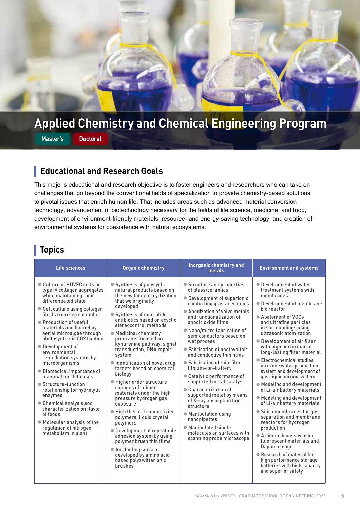

## **Applied Chemistry and Chemical Engineering Program**

**Master's Doctoral**

### **Educational and Research Goals**

This major's educational and research objective is to foster engineers and researchers who can take on challenges that go beyond the conventional fields of specialization to provide chemistry-based solutions to pivotal issues that enrich human life. That includes areas such as advanced material conversion technology, advancement of biotechnology necessary for the fields of life science, medicine, and food, development of environment-friendly materials, resource- and energy-saving technology, and creation of environmental systems for coexistence with natural ecosystems.

| Life sciences                                                                                                                                                                                                                                                                                                                                                                                                                                                                                                                                                                                                                                               | <b>Organic chemistry</b>                                                                                                                                                                                                                                                                                                                                                                                                                                                                                                                                                                                                                                                                                                                                                                           | <b>Inorganic chemistry and</b><br>metals                                                                                                                                                                                                                                                                                                                                                                                                                                                                                                                                                                                                                                      | <b>Environment and systems</b>                                                                                                                                                                                                                                                                                                                                                                                                                                                                                                                                                                                                                                                                                                                                                                                                                  |
|-------------------------------------------------------------------------------------------------------------------------------------------------------------------------------------------------------------------------------------------------------------------------------------------------------------------------------------------------------------------------------------------------------------------------------------------------------------------------------------------------------------------------------------------------------------------------------------------------------------------------------------------------------------|----------------------------------------------------------------------------------------------------------------------------------------------------------------------------------------------------------------------------------------------------------------------------------------------------------------------------------------------------------------------------------------------------------------------------------------------------------------------------------------------------------------------------------------------------------------------------------------------------------------------------------------------------------------------------------------------------------------------------------------------------------------------------------------------------|-------------------------------------------------------------------------------------------------------------------------------------------------------------------------------------------------------------------------------------------------------------------------------------------------------------------------------------------------------------------------------------------------------------------------------------------------------------------------------------------------------------------------------------------------------------------------------------------------------------------------------------------------------------------------------|-------------------------------------------------------------------------------------------------------------------------------------------------------------------------------------------------------------------------------------------------------------------------------------------------------------------------------------------------------------------------------------------------------------------------------------------------------------------------------------------------------------------------------------------------------------------------------------------------------------------------------------------------------------------------------------------------------------------------------------------------------------------------------------------------------------------------------------------------|
| ● Culture of HUVEC cells on<br>type IV collagen aggregates<br>while maintaining their<br>differentiated state<br>● Cell culture using collagen<br>fibrils from sea cucumber<br>• Production of useful<br>materials and biofuel by<br>aerial microalgae through<br>photosynthetic CO2 fixation<br>• Development of<br>environmental<br>remediation systems by<br>microorganisms<br>● Biomedical importance of<br>mammalian chitinases<br>● Structure-function<br>relationship for hydrolytic<br>enzymes<br>• Chemical analysis and<br>characterization on flavor<br>of foods<br>● Molecular analysis of the<br>regulation of nitrogen<br>metabolism in plant | $\bullet$ Synthesis of polycyclic<br>natural products based on<br>the new tandem-cyclization<br>that we originally<br>developed<br>● Synthesis of macrolide<br>antibiotics based on acyclic<br>stereocontrol methods<br>$\bullet$ Medicinal chemistry<br>programs focused on<br>kynurenine pathway, signal<br>transduction, DNA repair<br>system<br>Identification of novel drug<br>targets based on chemical<br>biology<br>● Higher order structure<br>changes of rubber<br>materials under the high<br>pressure hydrogen gas<br>exposure<br>● High thermal conductivity<br>polymers, liquid crystal<br>polymers<br>● Development of repeatable<br>adhesion system by using<br>polymer brush thin films<br>● Antifouling surface<br>developed by amino acid-<br>based polyzwitterionic<br>brushes | ● Structure and properties<br>of glass/ceramics<br>• Development of superionic<br>conducting glass-ceramics<br>• Anodization of valve metals<br>and functionalization of<br>anodic oxide films<br>● Nano/micro fabrication of<br>semiconductors based on<br>wet process<br>● Fabrication of photovoltaic<br>and conductive thin films<br>• Fabrication of thin-film<br>lithium-ion-battery<br>• Catalytic performance of<br>supported metal catalyst<br>• Characterization of<br>supported metal by means<br>of X-ray absorption fine<br>structure<br>• Manipulation using<br>nanopipettes<br>● Manipulated single<br>molecules on surfaces with<br>scanning probe microscope | • Development of water<br>treatment systems with<br>membranes<br>• Development of membrane<br>bio reactor<br>• Abatement of VOCs<br>and ultrafine particles<br>in surroundings using<br>ultrasonic atomization<br>• Development of air filter<br>with high performance<br>long-lasting filter material<br>● Electrochemical studies<br>on ozone water production<br>system and development of<br>gas-liquid mixing system<br>● Modeling and development<br>of Li-air battery materials<br>● Modeling and development<br>of Li-air battery materials<br>● Silica membranes for gas<br>separation and membrane<br>reactors for hydrogen<br>production<br>• A simple bioassay using<br>fluorescent materials and<br>Daphnia magna<br>• Research of material for<br>high performance storage<br>batteries with high capacity<br>and superior safety |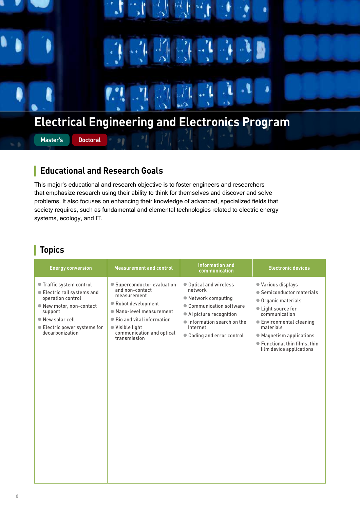

#### ı **Educational and Research Goals**

This major's educational and research objective is to foster engineers and researchers that emphasize research using their ability to think for themselves and discover and solve problems. It also focuses on enhancing their knowledge of advanced, specialized fields that society requires, such as fundamental and elemental technologies related to electric energy systems, ecology, and IT.

| <b>Energy conversion</b>                                                                                                                                                                         | <b>Measurement and control</b>                                                                                                                                                                                          | <b>Information and</b><br>communication                                                                                                                                                 | <b>Electronic devices</b>                                                                                                                                                                                                                       |
|--------------------------------------------------------------------------------------------------------------------------------------------------------------------------------------------------|-------------------------------------------------------------------------------------------------------------------------------------------------------------------------------------------------------------------------|-----------------------------------------------------------------------------------------------------------------------------------------------------------------------------------------|-------------------------------------------------------------------------------------------------------------------------------------------------------------------------------------------------------------------------------------------------|
| ● Traffic system control<br>● Electric rail systems and<br>operation control<br>● New motor, non-contact<br>support<br>New solar cell<br>$\bullet$ Electric power systems for<br>decarbonization | • Superconductor evaluation<br>and non-contact<br>measurement<br>● Robot development<br>• Nano-level measurement<br>● Bio and vital information<br>$\bullet$ Visible light<br>communication and optical<br>transmission | ● Optical and wireless<br>network<br>• Network computing<br>• Communication software<br>• Al picture recognition<br>Information search on the<br>Internet<br>• Coding and error control | ● Various displays<br>● Semiconductor materials<br>• Organic materials<br>• Light source for<br>communication<br>● Environmental cleaning<br>materials<br>• Magnetism applications<br>● Functional thin films, thin<br>film device applications |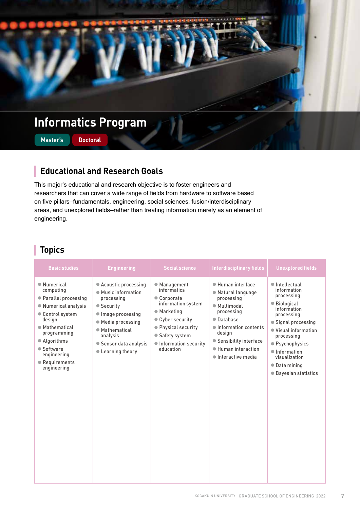

#### **Educational and Research Goals** I

This major's educational and research objective is to foster engineers and researchers that can cover a wide range of fields from hardware to software based on five pillars—fundamentals, engineering, social sciences, fusion/interdisciplinary areas, and unexplored fields—rather than treating information merely as an element of engineering.

| <b>Basic studies</b>                                                                                                                                                                                                 | <b>Engineering</b>                                                                                                                                                                              | <b>Social science</b>                                                                                                                                                              | <b>Interdisciplinary fields</b>                                                                                                                                                                                      | <b>Unexplored fields</b>                                                                                                                                                                                                                                   |
|----------------------------------------------------------------------------------------------------------------------------------------------------------------------------------------------------------------------|-------------------------------------------------------------------------------------------------------------------------------------------------------------------------------------------------|------------------------------------------------------------------------------------------------------------------------------------------------------------------------------------|----------------------------------------------------------------------------------------------------------------------------------------------------------------------------------------------------------------------|------------------------------------------------------------------------------------------------------------------------------------------------------------------------------------------------------------------------------------------------------------|
| • Numerical<br>computing<br>● Parallel processing<br>● Numerical analysis<br>Control system<br>design<br>● Mathematical<br>programming<br>• Algorithms<br>● Software<br>engineering<br>● Requirements<br>engineering | • Acoustic processing<br>● Music information<br>processing<br>● Security<br>Image processing<br>● Media processing<br>● Mathematical<br>analysis<br>● Sensor data analysis<br>• Learning theory | ● Management<br>informatics<br>• Corporate<br>information system<br>● Marketing<br>• Cyber security<br>● Physical security<br>● Safety system<br>Information security<br>education | · Human interface<br>● Natural language<br>processing<br>● Multimodal<br>processing<br>• Database<br>Information contents<br>design<br>● Sensibility interface<br>· Human interaction<br>$\bullet$ Interactive media | $\bullet$ Intellectual<br>information<br>processing<br>● Biological<br>information<br>processing<br>• Signal processing<br>● Visual information<br>processing<br>● Psychophysics<br>lnformation<br>visualization<br>• Data mining<br>● Bayesian statistics |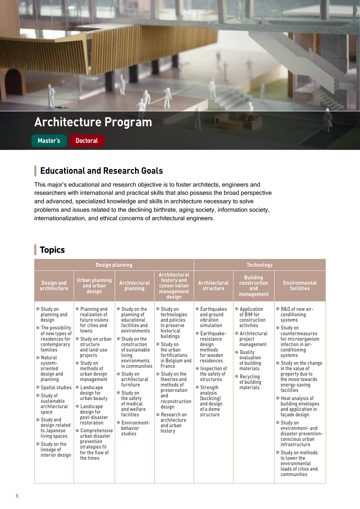

**Master's Doctoral**

#### **Educational and Research Goals**

This major's educational and research objective is to foster architects, engineers and researchers with international and practical skills that also possess the broad perspective and advanced, specialized knowledge and skills in architecture necessary to solve problems and issues related to the declining birthrate, aging society, information society, internationalization, and ethical concerns of architectural engineers.

|                                                                                                                                                                                                                                                                                                                                                                                          | <b>Design planning</b>                                                                                                                                                                                                                                                                                                                                                                                              |                                                                                                                                                                                                                                                                                                                                            |                                                                                                                                                                                                                                                                                                                           | <b>Technology</b>                                                                                                                                                                                                                                                      |                                                                                                                                                                                                                 |                                                                                                                                                                                                                                                                                                                                                                                                                                                                                                                                                     |
|------------------------------------------------------------------------------------------------------------------------------------------------------------------------------------------------------------------------------------------------------------------------------------------------------------------------------------------------------------------------------------------|---------------------------------------------------------------------------------------------------------------------------------------------------------------------------------------------------------------------------------------------------------------------------------------------------------------------------------------------------------------------------------------------------------------------|--------------------------------------------------------------------------------------------------------------------------------------------------------------------------------------------------------------------------------------------------------------------------------------------------------------------------------------------|---------------------------------------------------------------------------------------------------------------------------------------------------------------------------------------------------------------------------------------------------------------------------------------------------------------------------|------------------------------------------------------------------------------------------------------------------------------------------------------------------------------------------------------------------------------------------------------------------------|-----------------------------------------------------------------------------------------------------------------------------------------------------------------------------------------------------------------|-----------------------------------------------------------------------------------------------------------------------------------------------------------------------------------------------------------------------------------------------------------------------------------------------------------------------------------------------------------------------------------------------------------------------------------------------------------------------------------------------------------------------------------------------------|
| <b>Design and</b><br>architecture                                                                                                                                                                                                                                                                                                                                                        | <b>Urban planning</b><br>and urban<br>design                                                                                                                                                                                                                                                                                                                                                                        | <b>Architectural</b><br>planning                                                                                                                                                                                                                                                                                                           | <b>Architectural</b><br>history and<br>conservation<br>management<br>design                                                                                                                                                                                                                                               | <b>Architectural</b><br>structure                                                                                                                                                                                                                                      | <b>Building</b><br>construction<br>and<br>management                                                                                                                                                            | <b>Environmental</b><br><b>facilities</b>                                                                                                                                                                                                                                                                                                                                                                                                                                                                                                           |
| ● Study on<br>planning and<br>design<br>● The possibility<br>of new types of<br>residences for<br>contemporary<br>families<br>● Natural<br>system-<br>oriented<br>design and<br>planning<br>• Spatial studies<br>● Study of<br>sustainable<br>architectural<br>space<br>● Study and<br>design related<br>to Japanese<br>living spaces<br>● Study on the<br>lineage of<br>interior design | ● Planning and<br>realization of<br>future visions<br>for cities and<br>towns<br>● Study on urban<br>structure<br>and land-use<br>projects<br>● Study on<br>methods of<br>urban design<br>management<br>• Landscape<br>design for<br>urban beauty<br>• Landscape<br>design for<br>post-disaster<br>restoration<br>• Comprehensive<br>urban disaster<br>prevention<br>strategies fit<br>for the flow of<br>the times | ● Study on the<br>planning of<br>educational<br>facilities and<br>environments<br>● Study on the<br>construction<br>of sustainable<br>living<br>environments<br>in communities<br>● Study on<br>architectural<br>furniture<br>● Study on<br>the safety<br>of medical<br>and welfare<br>facilities<br>● Environment-<br>behavior<br>studies | ● Study on<br>technologies<br>and policies<br>to preserve<br>historical<br>buildings<br>● Study on<br>the urban<br>fortifications<br>in Belgium and<br>France<br>● Study on the<br>theories and<br>methods of<br>preservation<br>and<br>reconstruction<br>design<br>● Research on<br>architecture<br>and urban<br>history | ● Earthquakes<br>and ground<br>vibration<br>simulation<br>● Earthquake-<br>resistance<br>design<br>methods<br>for wooden<br>residences<br>Inspection of<br>the safety of<br>structures<br>● Strength<br>analysis<br>(buckling)<br>and design<br>of a dome<br>structure | ● Application<br>of BIM for<br>construction<br>activities<br>● Architectural<br>project<br>management<br>• Quality<br>evaluation<br>of building<br>materials<br>$\bullet$ Recycling<br>of building<br>materials | • R&D of new air-<br>conditioning<br>systems<br>● Study on<br>countermeasures<br>for microorganism<br>infection in air-<br>conditioning<br>systems<br>● Study on the change<br>in the value of<br>property due to<br>the move towards<br>energy-saving<br>facilities<br>● Heat analysis of<br>building envelopes<br>and application in<br>façade design<br>● Study on<br>environment- and<br>disaster prevention-<br>conscious urban<br>infrastructure<br>● Study on methods<br>to lower the<br>environmental<br>loads of cities and<br>communities |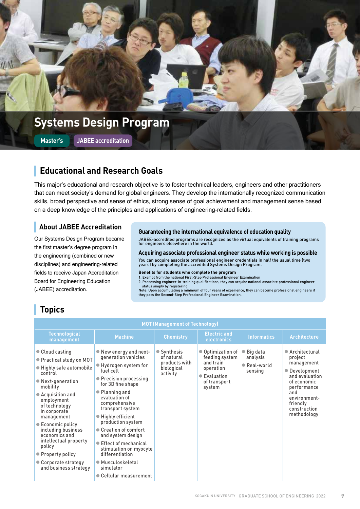

### **Educational and Research Goals**

This major's educational and research objective is to foster technical leaders, engineers and other practitioners that can meet society's demand for global engineers. They develop the internationally recognized communication skills, broad perspective and sense of ethics, strong sense of goal achievement and management sense based on a deep knowledge of the principles and applications of engineering-related fields.

### **About JABEE Accreditation**

Our Systems Design Program became the first master's degree program in the engineering (combined or new disciplines) and engineering-related fields to receive Japan Accreditation Board for Engineering Education (JABEE) accreditation.

#### **Guaranteeing the international equivalence of education quality**

JABEE-accredited programs are recognized as the virtual equivalents of training programs for engineers elsewhere in the world.

**Acquiring associate professional engineer status while working is possible**

You can acquire associate professional engineer credentials in half the usual time (two years) by completing the accredited Systems Design Program.

#### **Benefits for students who complete the program**

1. Exempt from the national First-Step Professional Engineer Examination 2. Possessing engineer-in-training qualifications, they can acquire national associate professional engineer

status simply by registering Note: Upon accumulating a minimum of four years of experience, they can become professional engineers if they pass the Second-Step Professional Engineer Examination.

| <b>MOT (Management of Technology)</b>                                                                                                                                                                                                                                                                                                                                      |                                                                                                                                                                                                                                                                                                                                                                                                                                                                |                                                                      |                                                                                                         |                                                           |                                                                                                                                                                             |  |  |  |
|----------------------------------------------------------------------------------------------------------------------------------------------------------------------------------------------------------------------------------------------------------------------------------------------------------------------------------------------------------------------------|----------------------------------------------------------------------------------------------------------------------------------------------------------------------------------------------------------------------------------------------------------------------------------------------------------------------------------------------------------------------------------------------------------------------------------------------------------------|----------------------------------------------------------------------|---------------------------------------------------------------------------------------------------------|-----------------------------------------------------------|-----------------------------------------------------------------------------------------------------------------------------------------------------------------------------|--|--|--|
| <b>Technological</b><br>management                                                                                                                                                                                                                                                                                                                                         | <b>Machine</b>                                                                                                                                                                                                                                                                                                                                                                                                                                                 | <b>Chemistry</b>                                                     | <b>Electric and</b><br>electronics                                                                      | <b>Informatics</b>                                        | <b>Architecture</b>                                                                                                                                                         |  |  |  |
| • Cloud casting<br>● Practical study on MOT<br>● Highly safe automobile<br>control<br>● Next-generation<br>mobility<br>• Acquisition and<br>employment<br>of technology<br>in corporate<br>management<br>● Economic policy<br>including business<br>economics and<br>intellectual property<br>policy<br>• Property policy<br>• Corporate strategy<br>and business strategy | $\bullet$ New energy and next-<br>generation vehicles<br>$\bullet$ Hydrogen system for<br>fuel cell<br>• Precision processing<br>for 3D fine shape<br>• Planning and<br>evaluation of<br>comprehensive<br>transport system<br>$\bullet$ Highly efficient<br>production system<br>● Creation of comfort<br>and system design<br>● Effect of mechanical<br>stimulation on myocyte<br>differentiation<br>● Musculoskeletal<br>simulator<br>• Cellular measurement | ● Synthesis<br>of natural<br>products with<br>biological<br>activity | ● Optimization of<br>feeding system<br>and train<br>operation<br>● Evaluation<br>of transport<br>system | $\bullet$ Big data<br>analysis<br>● Real-world<br>sensing | ● Architectural<br>project<br>management<br>• Development<br>and evaluation<br>of economic<br>performance<br>and<br>environment-<br>friendly<br>construction<br>methodology |  |  |  |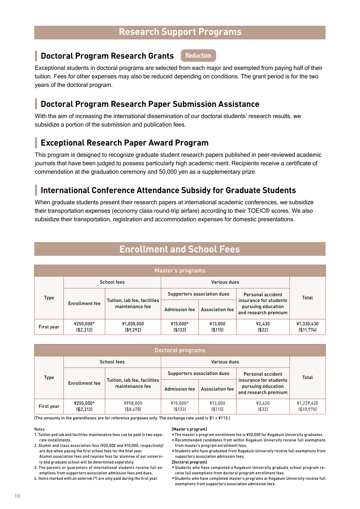### **Research Support Programs**

**Reduction**

### **Doctoral Program Research Grants**

Exceptional students in doctoral programs are selected from each major and exempted from paying half of their tuition. Fees for other expenses may also be reduced depending on conditions. The grant period is for the two years of the doctoral program.

### **Doctoral Program Research Paper Submission Assistance**

With the aim of increasing the international dissemination of our doctoral students' research results, we subsidize a portion of the submission and publication fees.

### **Exceptional Research Paper Award Program**

This program is designed to recognize graduate student research papers published in peer-reviewed academic journals that have been judged to possess particularly high academic merit. Recipients receive a certificate of commendation at the graduation ceremony and 50,000 yen as a supplementary prize.

#### ı **International Conference Attendance Subsidy for Graduate Students**

When graduate students present their research papers at international academic conferences, we subsidize their transportation expenses (economy class round-trip airfare) according to their TOEIC® scores. We also subsidize their transportation, registration and accommodation expenses for domestic presentations.

### **Enrollment and School Fees**

| Master's programs |                          |                                                 |                                                  |                        |                                                                      |                           |  |
|-------------------|--------------------------|-------------------------------------------------|--------------------------------------------------|------------------------|----------------------------------------------------------------------|---------------------------|--|
|                   |                          | School fees                                     |                                                  | Various dues           |                                                                      |                           |  |
| Type              |                          |                                                 | Supporters association dues<br>Personal accident |                        | <b>Total</b>                                                         |                           |  |
|                   | Enrollment fee           | Tuition, lab fee, facilities<br>maintenance fee | <b>Admission fee</b>                             | <b>Association fee</b> | insurance for students<br>pursuing education<br>and research premium |                           |  |
| First year        | ¥250,000*<br>( \$2, 212] | ¥1,050,000<br>( \$9, 292]                       | ¥15,000*<br>( \$133]                             | ¥13,000<br>( \$115]    | ¥2,430<br>(522)                                                      | ¥1,330,430<br>( \$11,774] |  |

| Doctoral programs |                          |                                                 |                             |                        |                                                                      |                           |  |  |
|-------------------|--------------------------|-------------------------------------------------|-----------------------------|------------------------|----------------------------------------------------------------------|---------------------------|--|--|
|                   | School fees              |                                                 | Various dues                |                        |                                                                      |                           |  |  |
| Type              |                          |                                                 | Supporters association dues |                        | Personal accident                                                    | Total                     |  |  |
|                   | Enrollment fee           | Tuition, lab fee, facilities<br>maintenance fee | <b>Admission fee</b>        | <b>Association fee</b> | insurance for students<br>pursuing education<br>and research premium |                           |  |  |
| First year        | ¥250,000*<br>( \$2, 212] | ¥958,000<br>( \$8,478]                          | ¥15,000*<br>( \$133]        | ¥13,000<br>( \$115]    | ¥3,620<br>( \$32]                                                    | ¥1,239,620<br>( \$10,970] |  |  |

(The amounts in the parentheses are for reference purposes only. The exchange rate used is  $$1 = $113$ .)

#### Notes

ı

- 1. Tuition and lab and facilities maintenance fees can be paid in two separate installments.
- 2. Alumni and class association fess (¥20,000 and ¥10,000, respectively) are due when paying the first school fees for the final year. Alumni association fees and reunion fess for alumnae of our university and graduate school will be determined separately.
- 3. The parents or guarantors of international students receive full exemptions from supporters association admission fees and dues.

4. Items marked with an asterisk (\*) are only paid during the first year.

#### **[Master's program]**

● The master's program enrollment fee is ¥50,000 for Kogakuin University graduates.

- Recommended candidates from within Kogakuin University receive full exemptions from master's program enrollment fees.
- Students who have graduated from Kogakuin University receive full exemptions from supporters association admission fees.

**[Doctoral program]**

- Students who have completed a Kogakuin University graduate school program receive full exemptions from doctoral program enrollment fees.
- Students who have completed master's programs at Kogakuin University receive full exemptions from supporters association admission fees.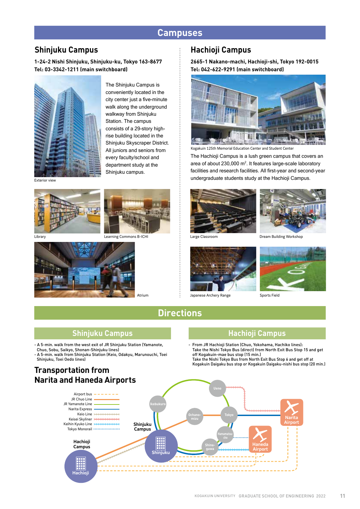### **Campuses**

### **Shinjuku Campus**

**1-24-2 Nishi Shinjuku, Shinjuku-ku, Tokyo 163-8677 Tel: 03-3342-1211 (main switchboard)**



The Shinjuku Campus is conveniently located in the city center just a five-minute walk along the underground walkway from Shinjuku Station. The campus consists of a 29-story highrise building located in the Shinjuku Skyscraper District. All juniors and seniors from every faculty/school and department study at the Shinjuku campus.

Exterior view





Librar



Atrium

#### **Hachioji Campus**

**2665-1 Nakano-machi, Hachioji-shi, Tokyo 192-0015 Tel: 042-622-9291 (main switchboard)**



Kogakuin 125th Memorial Education Center and Student Center

The Hachioji Campus is a lush green campus that covers an area of about  $230,000 \text{ m}^2$ . It features large-scale laboratory facilities and research facilities. All first-year and second-year undergraduate students study at the Hachioji Campus.





Large Classroom



Japanese Archery Range

Dream Building Workshop



Sports Field

### **Directions**

#### **Shinjuku Campus Hachioji Campus**

- A 5-min. walk from the west exit of JR Shinjuku Station (Yamanote, Chuo, Sobu, Saikyo, Shonan-Shinjuku lines)

- A 5-min. walk from Shinjuku Station (Keio, Odakyu, Marunouchi, Toei Shinjuku, Toei Oedo lines)

### **Transportation from Narita and Haneda Airports**

- From JR Hachioji Station (Chuo, Yokohama, Hachiko lines): Take the Nishi Tokyo Bus (direct) from North Exit Bus Stop 15 and get off Kogakuin-mae bus stop (15 min.)

Take the Nishi Tokyo Bus from North Exit Bus Stop 6 and get off at Kogakuin Daigaku bus stop or Kogakuin Daigaku-nishi bus stop (20 min.)